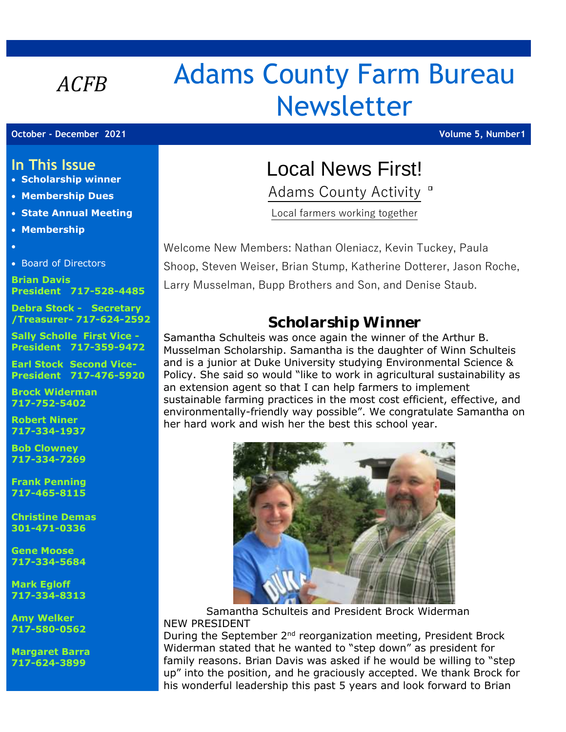# *ACFB* Adams County Farm Bureau Newsletter

**October - December 2021 Volume 5, Number1**

## **In This Issue**

- **Scholarship winner**
- **Membership Dues**
- **State Annual Meeting**
- **Membership**
- •
- Board of Directors

**Brian Davis President 717-528-4485**

**Debra Stock - Secretary /Treasurer- 717-624-2592**

**Sally Scholle First Vice - President 717-359-9472**

**Earl Stock Second Vice-President 717-476-5920**

**Brock Widerman 717-752-5402**

**Robert Niner 717-334-1937**

**Bob Clowney 717-334-7269**

**Frank Penning 717-465-8115**

**Christine Demas 301-471-0336**

**Gene Moose 717-334-5684**

**Mark Egloff 717-334-8313**

**Amy Welker 717-580-0562**

**Margaret Barra 717-624-3899**

## Local News First!

Adams County Activity<sup>"</sup>

Local farmers working together

Welcome New Members: Nathan Oleniacz, Kevin Tuckey, Paula Shoop, Steven Weiser, Brian Stump, Katherine Dotterer, Jason Roche, Larry Musselman, Bupp Brothers and Son, and Denise Staub.

## *Scholarship Winner*

Samantha Schulteis was once again the winner of the Arthur B. Musselman Scholarship. Samantha is the daughter of Winn Schulteis and is a junior at Duke University studying Environmental Science & Policy. She said so would "like to work in agricultural sustainability as an extension agent so that I can help farmers to implement sustainable farming practices in the most cost efficient, effective, and environmentally-friendly way possible". We congratulate Samantha on her hard work and wish her the best this school year.



 Samantha Schulteis and President Brock Widerman NEW PRESIDENT

During the September 2<sup>nd</sup> reorganization meeting, President Brock Widerman stated that he wanted to "step down" as president for family reasons. Brian Davis was asked if he would be willing to "step up" into the position, and he graciously accepted. We thank Brock for his wonderful leadership this past 5 years and look forward to Brian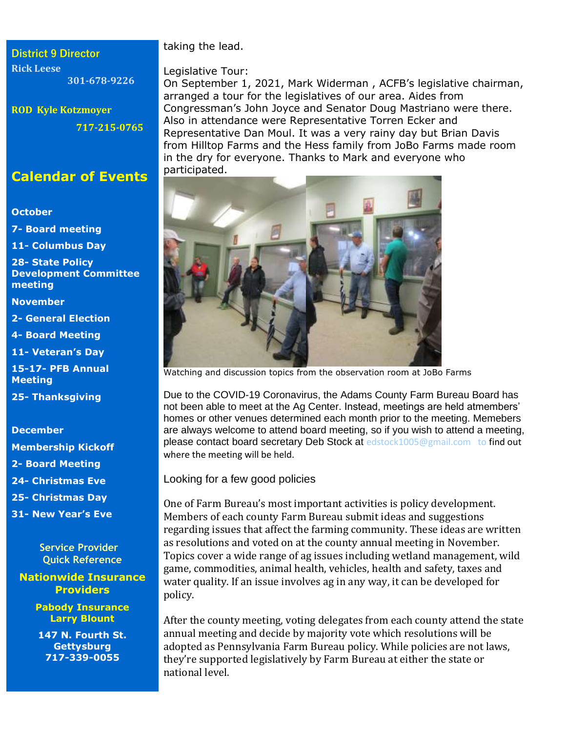**District 9 Director Rick Leese 301-678-9226**

**ROD Kyle Kotzmoyer 717-215-0765**

## **Calendar of Events**

#### **October**

**7- Board meeting** 

**11- Columbus Day**

**28- State Policy Development Committee meeting**

**November**

**2- General Election**

**4- Board Meeting**

**11- Veteran's Day**

**15-17- PFB Annual Meeting**

**25- Thanksgiving**

#### **December**

**Membership Kickoff**

**2- Board Meeting**

**24- Christmas Eve**

**25- Christmas Day**

**31- New Year's Eve**

 **Service Provider Quick Reference**

#### **Nationwide Insurance Providers**

**Pabody Insurance Larry Blount**

**147 N. Fourth St. Gettysburg 717-339-0055**

taking the lead.

#### Legislative Tour:

On September 1, 2021, Mark Widerman , ACFB's legislative chairman, arranged a tour for the legislatives of our area. Aides from Congressman's John Joyce and Senator Doug Mastriano were there. Also in attendance were Representative Torren Ecker and Representative Dan Moul. It was a very rainy day but Brian Davis from Hilltop Farms and the Hess family from JoBo Farms made room in the dry for everyone. Thanks to Mark and everyone who participated.



Watching and discussion topics from the observation room at JoBo Farms

Due to the COVID-19 Coronavirus, the Adams County Farm Bureau Board has not been able to meet at the Ag Center. Instead, meetings are held atmembers' homes or other venues determined each month prior to the meeting. Memebers are always welcome to attend board meeting, so if you wish to attend a meeting, please contact board secretary Deb Stock at [edstock1005@gmail.com to](mailto:edstock1005@gmail.com%20%20%20to) find out where the meeting will be held.

Looking for a few good policies

One of Farm Bureau's most important activities is policy development. Members of each county Farm Bureau submit ideas and suggestions regarding issues that affect the farming community. These ideas are written as resolutions and voted on at the county annual meeting in November. Topics cover a wide range of ag issues including wetland management, wild game, commodities, animal health, vehicles, health and safety, taxes and water quality. If an issue involves ag in any way, it can be developed for policy.

After the county meeting, voting delegates from each county attend the state annual meeting and decide by majority vote which resolutions will be adopted as Pennsylvania Farm Bureau policy. While policies are not laws, they're supported legislatively by Farm Bureau at either the state or national level.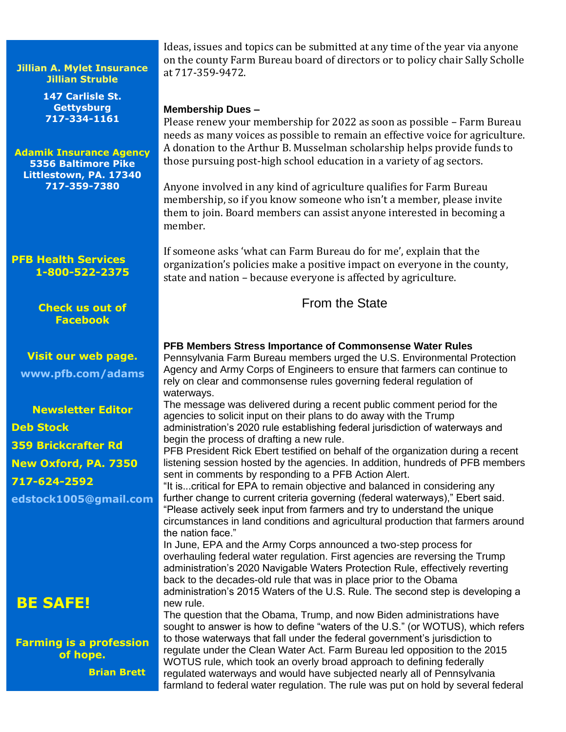#### **Jillian A. Mylet Insurance Jillian Struble**

**147 Carlisle St. Gettysburg 717-334-1161**

**Adamik Insurance Agency 5356 Baltimore Pike Littlestown, PA. 17340 717-359-7380**

**PFB Health Services 1-800-522-2375**

> **Check us out of Facebook**

**Visit our web page. [www.pfb.com/adams](http://www.pfb.com/adams)**

## **Newsletter Editor Deb Stock 359 Brickcrafter Rd New Oxford, PA. 7350 717-624-2592**

**[edstock1005@gmail.com](mailto:edstock1005@gmail.com)**

## **BE SAFE!**

**Farming is a profession of hope.** 

 **Brian Brett**

Ideas, issues and topics can be submitted at any time of the year via anyone on the county Farm Bureau board of directors or to policy chair Sally Scholle at 717-359-9472.

#### **Membership Dues –**

Please renew your membership for 2022 as soon as possible – Farm Bureau needs as many voices as possible to remain an effective voice for agriculture. A donation to the Arthur B. Musselman scholarship helps provide funds to those pursuing post-high school education in a variety of ag sectors.

Anyone involved in any kind of agriculture qualifies for Farm Bureau membership, so if you know someone who isn't a member, please invite them to join. Board members can assist anyone interested in becoming a member.

If someone asks 'what can Farm Bureau do for me', explain that the organization's policies make a positive impact on everyone in the county, state and nation – because everyone is affected by agriculture.

### From the State

#### **PFB Members Stress Importance of Commonsense Water Rules**

Pennsylvania Farm Bureau members urged the U.S. Environmental Protection Agency and Army Corps of Engineers to ensure that farmers can continue to rely on clear and commonsense rules governing federal regulation of waterways.

The message was delivered during a recent public comment period for the agencies to solicit input on their plans to do away with the Trump administration's 2020 rule establishing federal jurisdiction of waterways and begin the process of drafting a new rule.

PFB President Rick Ebert testified on behalf of the organization during a recent listening session hosted by the agencies. In addition, hundreds of PFB members sent in comments by responding to a PFB Action Alert.

"It is...critical for EPA to remain objective and balanced in considering any further change to current criteria governing (federal waterways)," Ebert said. "Please actively seek input from farmers and try to understand the unique circumstances in land conditions and agricultural production that farmers around the nation face."

In June, EPA and the Army Corps announced a two-step process for overhauling federal water regulation. First agencies are reversing the Trump administration's 2020 Navigable Waters Protection Rule, effectively reverting back to the decades-old rule that was in place prior to the Obama administration's 2015 Waters of the U.S. Rule. The second step is developing a new rule.

The question that the Obama, Trump, and now Biden administrations have sought to answer is how to define "waters of the U.S." (or WOTUS), which refers to those waterways that fall under the federal government's jurisdiction to regulate under the Clean Water Act. Farm Bureau led opposition to the 2015 WOTUS rule, which took an overly broad approach to defining federally regulated waterways and would have subjected nearly all of Pennsylvania farmland to federal water regulation. The rule was put on hold by several federal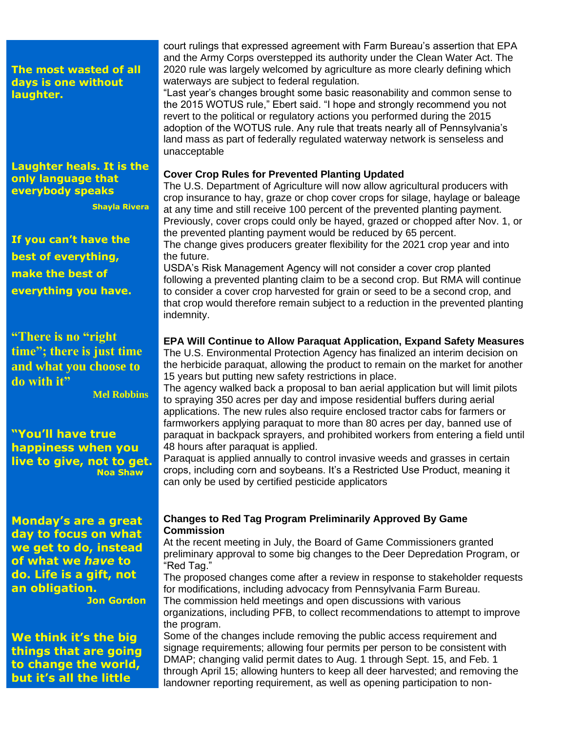**The most wasted of all days is one without laughter.**

**Laughter heals. It is the only language that everybody speaks**

 **Shayla Rivera**

**If you can't have the best of everything, make the best of everything you have.**

**"There is no "right time"; there is just time and what you choose to do with it"**

 **Mel Robbins**

**"You'll have true happiness when you live to give, not to get. Noa Shaw**

**Monday's are a great day to focus on what we get to do, instead of what we** *have* **to do. Life is a gift, not an obligation.**

 **Jon Gordon**

**We think it's the big things that are going to change the world, but it's all the little** 

court rulings that expressed agreement with Farm Bureau's assertion that EPA and the Army Corps overstepped its authority under the Clean Water Act. The 2020 rule was largely welcomed by agriculture as more clearly defining which waterways are subject to federal regulation.

"Last year's changes brought some basic reasonability and common sense to the 2015 WOTUS rule," Ebert said. "I hope and strongly recommend you not revert to the political or regulatory actions you performed during the 2015 adoption of the WOTUS rule. Any rule that treats nearly all of Pennsylvania's land mass as part of federally regulated waterway network is senseless and unacceptable

#### **Cover Crop Rules for Prevented Planting Updated**

The U.S. Department of Agriculture will now allow agricultural producers with crop insurance to hay, graze or chop cover crops for silage, haylage or baleage at any time and still receive 100 percent of the prevented planting payment. Previously, cover crops could only be hayed, grazed or chopped after Nov. 1, or the prevented planting payment would be reduced by 65 percent. The change gives producers greater flexibility for the 2021 crop year and into the future.

USDA's Risk Management Agency will not consider a cover crop planted following a prevented planting claim to be a second crop. But RMA will continue to consider a cover crop harvested for grain or seed to be a second crop, and that crop would therefore remain subject to a reduction in the prevented planting indemnity.

#### **EPA Will Continue to Allow Paraquat Application, Expand Safety Measures**

The U.S. Environmental Protection Agency has finalized an interim decision on the herbicide paraquat, allowing the product to remain on the market for another 15 years but putting new safety restrictions in place.

The agency walked back a proposal to ban aerial application but will limit pilots to spraying 350 acres per day and impose residential buffers during aerial applications. The new rules also require enclosed tractor cabs for farmers or farmworkers applying paraquat to more than 80 acres per day, banned use of paraquat in backpack sprayers, and prohibited workers from entering a field until 48 hours after paraquat is applied.

Paraquat is applied annually to control invasive weeds and grasses in certain crops, including corn and soybeans. It's a Restricted Use Product, meaning it can only be used by certified pesticide applicators

#### **Changes to Red Tag Program Preliminarily Approved By Game Commission**

At the recent meeting in July, the Board of Game Commissioners granted preliminary approval to some big changes to the Deer Depredation Program, or "Red Tag."

The proposed changes come after a review in response to stakeholder requests for modifications, including advocacy from Pennsylvania Farm Bureau.

The commission held meetings and open discussions with various organizations, including PFB, to collect recommendations to attempt to improve the program.

Some of the changes include removing the public access requirement and signage requirements; allowing four permits per person to be consistent with DMAP; changing valid permit dates to Aug. 1 through Sept. 15, and Feb. 1 through April 15; allowing hunters to keep all deer harvested; and removing the landowner reporting requirement, as well as opening participation to non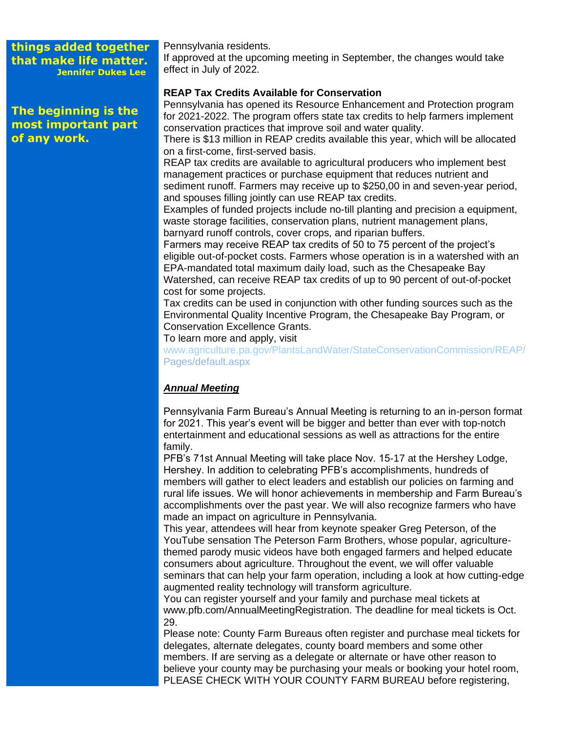**things added together that make life matter. Jennifer Dukes Lee**

**The beginning is the most important part of any work.**

Pennsylvania residents. If approved at the upcoming meeting in September, the changes would take effect in July of 2022.

#### **REAP Tax Credits Available for Conservation**

Pennsylvania has opened its Resource Enhancement and Protection program for 2021-2022. The program offers state tax credits to help farmers implement conservation practices that improve soil and water quality.

There is \$13 million in REAP credits available this year, which will be allocated on a first-come, first-served basis.

REAP tax credits are available to agricultural producers who implement best management practices or purchase equipment that reduces nutrient and sediment runoff. Farmers may receive up to \$250,00 in and seven-year period, and spouses filling jointly can use REAP tax credits.

Examples of funded projects include no-till planting and precision a equipment, waste storage facilities, conservation plans, nutrient management plans, barnyard runoff controls, cover crops, and riparian buffers.

Farmers may receive REAP tax credits of 50 to 75 percent of the project's eligible out-of-pocket costs. Farmers whose operation is in a watershed with an EPA-mandated total maximum daily load, such as the Chesapeake Bay Watershed, can receive REAP tax credits of up to 90 percent of out-of-pocket cost for some projects.

Tax credits can be used in conjunction with other funding sources such as the Environmental Quality Incentive Program, the Chesapeake Bay Program, or Conservation Excellence Grants.

To learn more and apply, visit

[www.agriculture.pa.gov/PlantsLandWater/StateConservationCommission/REAP/](http://www.agriculture.pa.gov/PlantsLandWater/StateConservationCommission/REAP/) Pages/default.aspx

#### *Annual Meeting*

Pennsylvania Farm Bureau's Annual Meeting is returning to an in-person format for 2021. This year's event will be bigger and better than ever with top-notch entertainment and educational sessions as well as attractions for the entire family.

PFB's 71st Annual Meeting will take place Nov. 15-17 at the Hershey Lodge, Hershey. In addition to celebrating PFB's accomplishments, hundreds of members will gather to elect leaders and establish our policies on farming and rural life issues. We will honor achievements in membership and Farm Bureau's accomplishments over the past year. We will also recognize farmers who have made an impact on agriculture in Pennsylvania.

This year, attendees will hear from keynote speaker Greg Peterson, of the YouTube sensation The Peterson Farm Brothers, whose popular, agriculturethemed parody music videos have both engaged farmers and helped educate consumers about agriculture. Throughout the event, we will offer valuable seminars that can help your farm operation, including a look at how cutting-edge augmented reality technology will transform agriculture.

You can register yourself and your family and purchase meal tickets at www.pfb.com/AnnualMeetingRegistration. The deadline for meal tickets is Oct. 29.

Please note: County Farm Bureaus often register and purchase meal tickets for delegates, alternate delegates, county board members and some other members. If are serving as a delegate or alternate or have other reason to believe your county may be purchasing your meals or booking your hotel room, PLEASE CHECK WITH YOUR COUNTY FARM BUREAU before registering,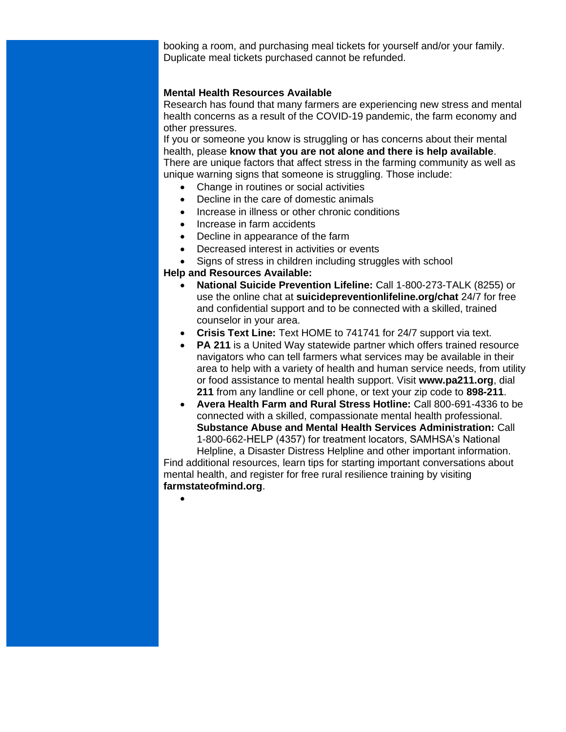booking a room, and purchasing meal tickets for yourself and/or your family. Duplicate meal tickets purchased cannot be refunded.

#### **Mental Health Resources Available**

Research has found that many farmers are experiencing new stress and mental health concerns as a result of the COVID-19 pandemic, the farm economy and other pressures.

If you or someone you know is struggling or has concerns about their mental health, please **know that you are not alone and there is help available**. There are unique factors that affect stress in the farming community as well as unique warning signs that someone is struggling. Those include:

- Change in routines or social activities
- Decline in the care of domestic animals
- Increase in illness or other chronic conditions
- Increase in farm accidents
- Decline in appearance of the farm
- Decreased interest in activities or events
- Signs of stress in children including struggles with school

#### **Help and Resources Available:**

- **National Suicide Prevention Lifeline:** Call 1-800-273-TALK (8255) or use the online chat at **suicidepreventionlifeline.org/chat** 24/7 for free and confidential support and to be connected with a skilled, trained counselor in your area.
- **Crisis Text Line:** Text HOME to 741741 for 24/7 support via text.
- **PA 211** is a United Way statewide partner which offers trained resource navigators who can tell farmers what services may be available in their area to help with a variety of health and human service needs, from utility or food assistance to mental health support. Visit **www.pa211.org**, dial **211** from any landline or cell phone, or text your zip code to **898-211**.
- **Avera Health Farm and Rural Stress Hotline:** Call 800-691-4336 to be connected with a skilled, compassionate mental health professional. **Substance Abuse and Mental Health Services Administration:** Call 1-800-662-HELP (4357) for treatment locators, SAMHSA's National Helpline, a Disaster Distress Helpline and other important information.

Find additional resources, learn tips for starting important conversations about mental health, and register for free rural resilience training by visiting **farmstateofmind.org**.

•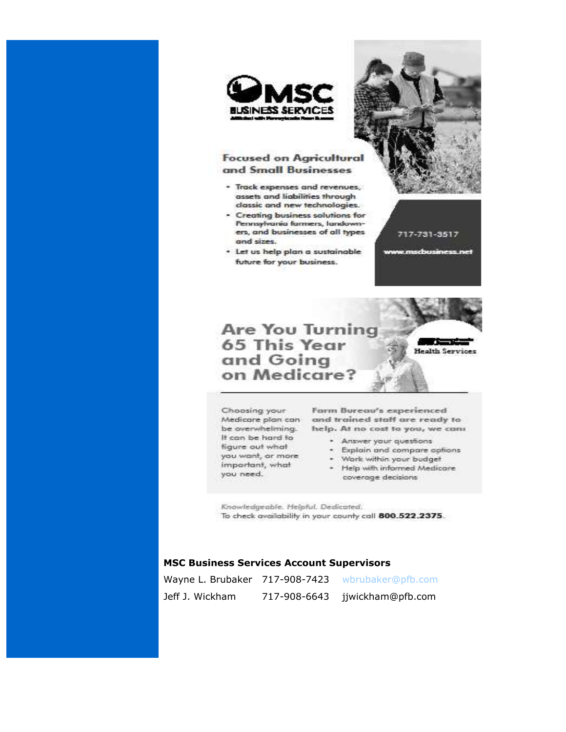

#### **Focused on Agricultural** and Small Businesses

- Track expenses and revenues, assets and liabilities through classic and new technologies.
- Creating business solutions for Pennsylvania farmers, landowners, and businesses of all types and sizes.
- · Let us help plan a sustainable future for your business.



**Are You Turning 65 This Year** and Going on Medicare?

717-731-3517

w.mscbusiness.net

**Health Services** 

Choosing your It can be hard to figure out what you want, or more important, what you need.

Farm Bureau's experienced Medicare plan can and trained staff are ready to be overwhelming. help. At no cost to you, we can

- Answer your questions
- · Explain and compare options
- Work within your budget
- · Help with informed Medicare coverage decisions

Knowledgeable. Helpful. Dedicated: To check availability in your county call 800.522.2375.

#### **MSC Business Services Account Supervisors**

|                 |              | Wayne L. Brubaker 717-908-7423 wbrubaker@pfb.com |
|-----------------|--------------|--------------------------------------------------|
| Jeff J. Wickham | 717-908-6643 | jjwickham@pfb.com                                |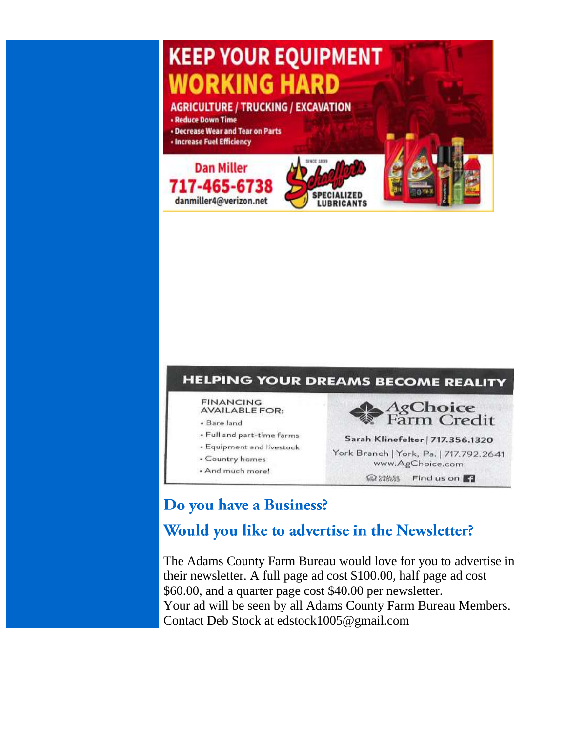## **KEEP YOUR EQUIPMENT WORKING HARD AGRICULTURE / TRUCKING / EXCAVATION • Reduce Down Time** . Decrease Wear and Tear on Parts • Increase Fuel Efficiency







## Do you have a Business?

## Would you like to advertise in the Newsletter?

The Adams County Farm Bureau would love for you to advertise in their newsletter. A full page ad cost \$100.00, half page ad cost \$60.00, and a quarter page cost \$40.00 per newsletter. Your ad will be seen by all Adams County Farm Bureau Members. Contact Deb Stock at edstock1005@gmail.com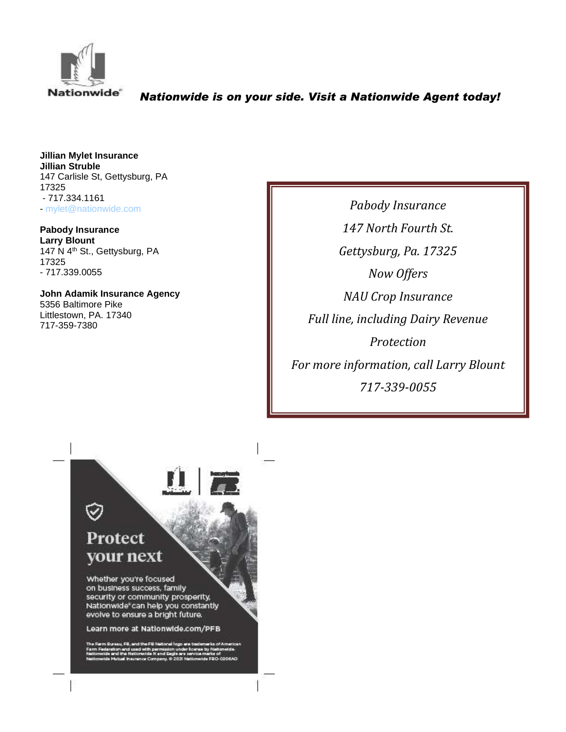

#### *Nationwide is on your side. Visit a Nationwide Agent today!*

**Jillian Mylet Insurance Jillian Struble** 147 Carlisle St, Gettysburg, PA 17325 - 717.334.1161 - [mylet@nationwide.com](mailto:mylet@nationwide.com)

**Pabody Insurance Larry Blount** 147 N 4th St., Gettysburg, PA 17325 - 717.339.0055

**John Adamik Insurance Agency** 5356 Baltimore Pike Littlestown, PA. 17340 717-359-7380

*Pabody Insurance 147 North Fourth St. Gettysburg, Pa. 17325 Now Offers NAU Crop Insurance Full line, including Dairy Revenue Protection For more information, call Larry Blount 717-339-0055*

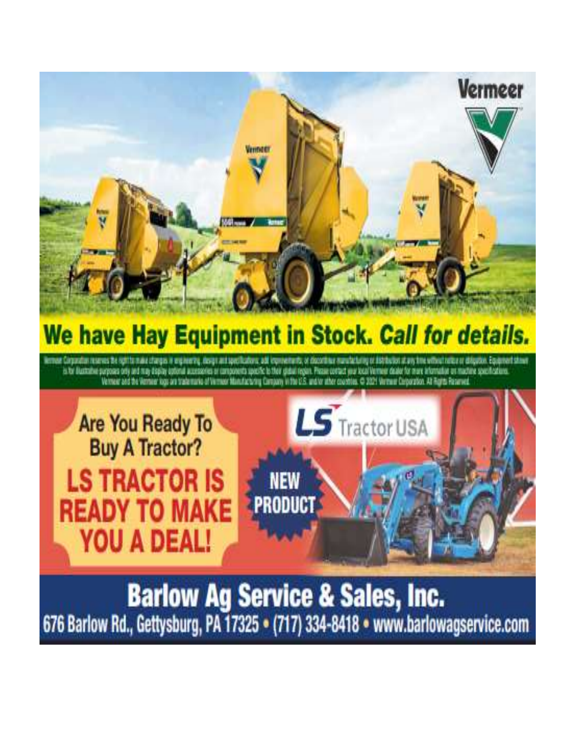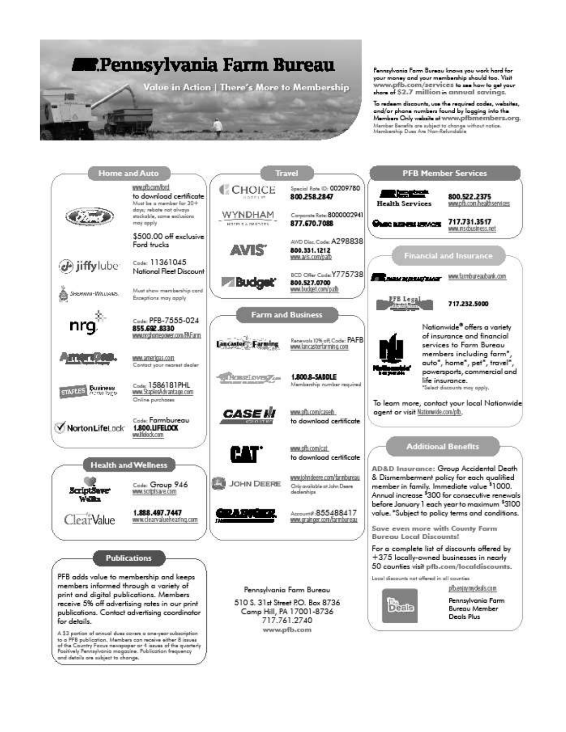## **Dennsylvania Farm Bureau**

Value in Action | There's More to Membership

Pennsylvania Farm Bureau knows you work hard for your money and your membership should too. Visit ww.pfb.com/services to use how to get your shore of \$2.7 million in annual savings.

To redeem discounts, use the required codes, websites,<br>and/or phane numbers found by logging into the Members Only website of www.pfbmembers.org. Member Benefits are subject to change without notice.<br>Membership Dues Are Nan-Refundable